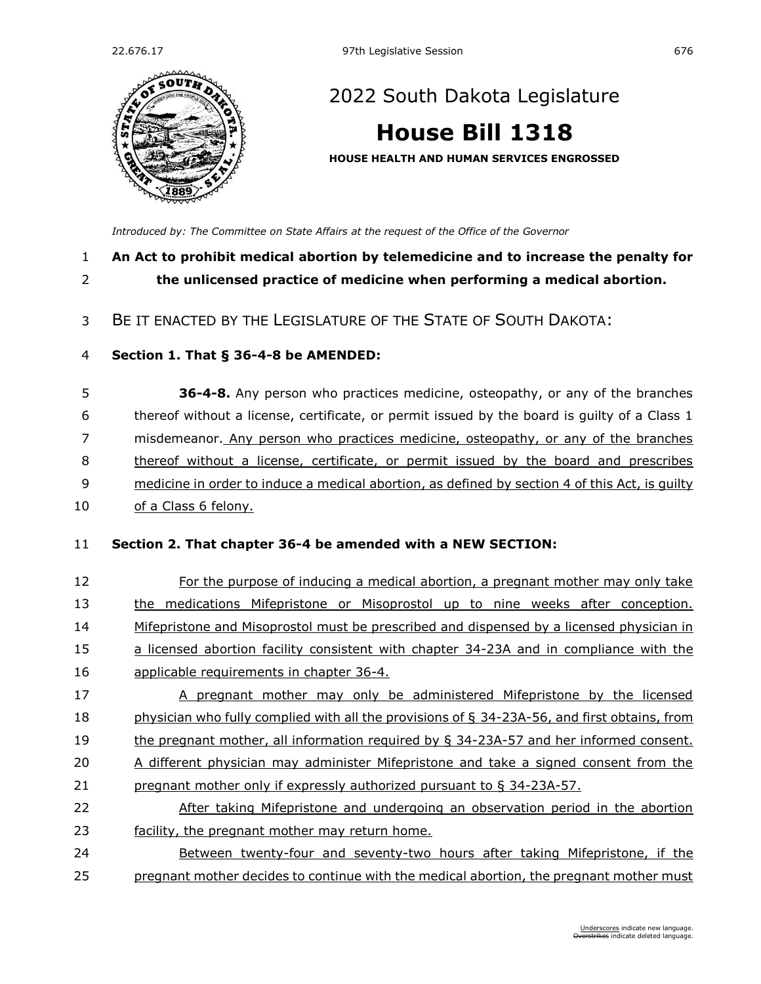

# [2022 South Dakota Legislature](https://sdlegislature.gov/Session/Bills/64)

# **[House Bill 1318](https://sdlegislature.gov/Session/Bill/23247)**

**HOUSE HEALTH AND HUMAN SERVICES ENGROSSED**

*[Introduced by: The Committee on State Affairs](https://sdlegislature.gov/Session/Committee/1016/Detail) at the request of the Office of the Governor*

## **An Act to prohibit medical abortion by telemedicine and to increase the penalty for the unlicensed practice of medicine when performing a medical abortion.**

BE IT ENACTED BY THE LEGISLATURE OF THE STATE OF SOUTH DAKOTA:

### **Section 1. [That § 36-4-8 be AMENDED:](https://sdlegislature.gov/Statutes?Statute=36-4-8)**

 **[36-4-8.](https://sdlegislature.gov/Statutes/Codified_Laws/DisplayStatute.aspx?Type=Statute&Statute=36-4-8)** Any person who practices medicine, osteopathy, or any of the branches thereof without a license, certificate, or permit issued by the board is guilty of a Class 1 misdemeanor. Any person who practices medicine, osteopathy, or any of the branches thereof without a license, certificate, or permit issued by the board and prescribes medicine in order to induce a medical abortion, as defined by section 4 of this Act, is guilty of a Class 6 felony.

#### **Section 2. That chapter [36-4](https://sdlegislature.gov/Statutes?Statute=36-4) be amended with a NEW SECTION:**

- For the purpose of inducing a medical abortion, a pregnant mother may only take the medications Mifepristone or Misoprostol up to nine weeks after conception. 14 Mifepristone and Misoprostol must be prescribed and dispensed by a licensed physician in a licensed abortion facility consistent with chapter [34-23A](https://sdlegislature.gov/Statutes?Statute=34-23A) and in compliance with the applicable requirements in chapter [36-4.](https://sdlegislature.gov/Statutes?Statute=36-4)
- A pregnant mother may only be administered Mifepristone by the licensed physician who fully complied with all the provisions of § [34-23A-56,](https://sdlegislature.gov/Statutes?Statute=34-23A-56) and first obtains, from the pregnant mother, all information required by § [34-23A-57](https://sdlegislature.gov/Statutes?Statute=34-23A-57) and her informed consent. 20 A different physician may administer Mifepristone and take a signed consent from the pregnant mother only if expressly authorized pursuant to § [34-23A-57.](https://sdlegislature.gov/Statutes?Statute=34-23A-57)
- After taking Mifepristone and undergoing an observation period in the abortion facility, the pregnant mother may return home.
- Between twenty-four and seventy-two hours after taking Mifepristone, if the pregnant mother decides to continue with the medical abortion, the pregnant mother must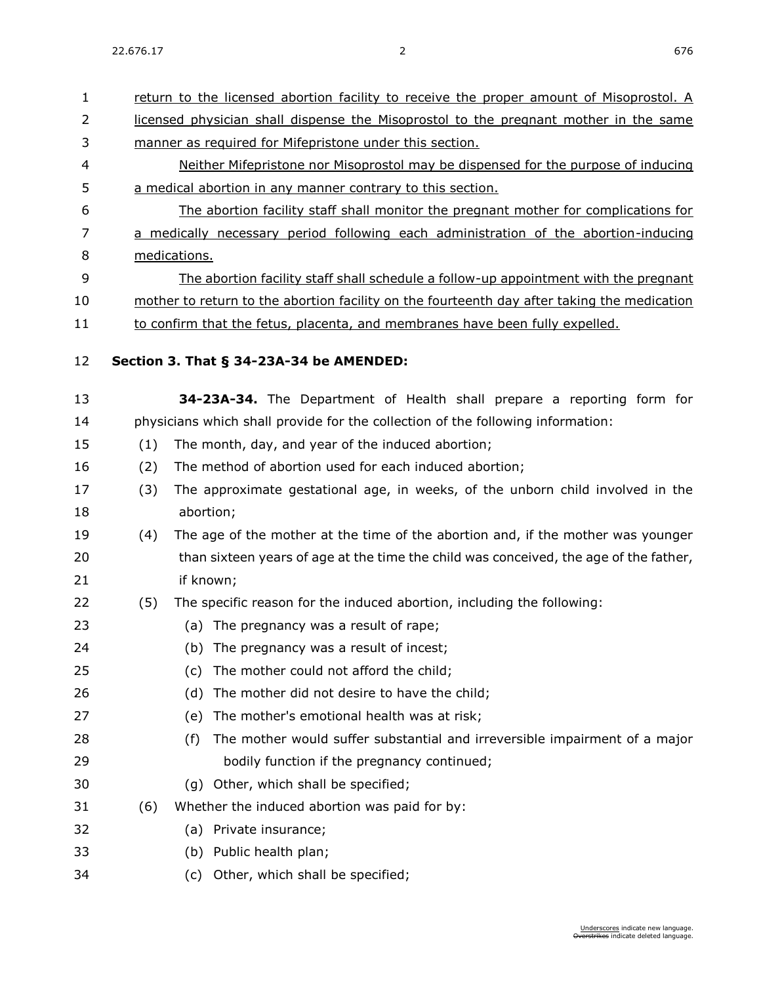return to the licensed abortion facility to receive the proper amount of Misoprostol. A 2 licensed physician shall dispense the Misoprostol to the pregnant mother in the same manner as required for Mifepristone under this section. Neither Mifepristone nor Misoprostol may be dispensed for the purpose of inducing a medical abortion in any manner contrary to this section. The abortion facility staff shall monitor the pregnant mother for complications for a medically necessary period following each administration of the abortion-inducing medications. The abortion facility staff shall schedule a follow-up appointment with the pregnant mother to return to the abortion facility on the fourteenth day after taking the medication 11 to confirm that the fetus, placenta, and membranes have been fully expelled. **Section 3. [That § 34-23A-34 be AMENDED:](https://sdlegislature.gov/Statutes?Statute=34-23A-34) [34-23A-34.](https://sdlegislature.gov/Statutes/Codified_Laws/DisplayStatute.aspx?Type=Statute&Statute=34-23A-34)** The Department of Health shall prepare a reporting form for physicians which shall provide for the collection of the following information: (1) The month, day, and year of the induced abortion; (2) The method of abortion used for each induced abortion; (3) The approximate gestational age, in weeks, of the unborn child involved in the abortion; (4) The age of the mother at the time of the abortion and, if the mother was younger 20 than sixteen years of age at the time the child was conceived, the age of the father, if known; (5) The specific reason for the induced abortion, including the following: (a) The pregnancy was a result of rape; (b) The pregnancy was a result of incest; (c) The mother could not afford the child; (d) The mother did not desire to have the child; (e) The mother's emotional health was at risk; (f) The mother would suffer substantial and irreversible impairment of a major bodily function if the pregnancy continued; (g) Other, which shall be specified; (6) Whether the induced abortion was paid for by: (a) Private insurance; (b) Public health plan;

(c) Other, which shall be specified;

Underscores indicate new language. erstrikes indicate deleted language.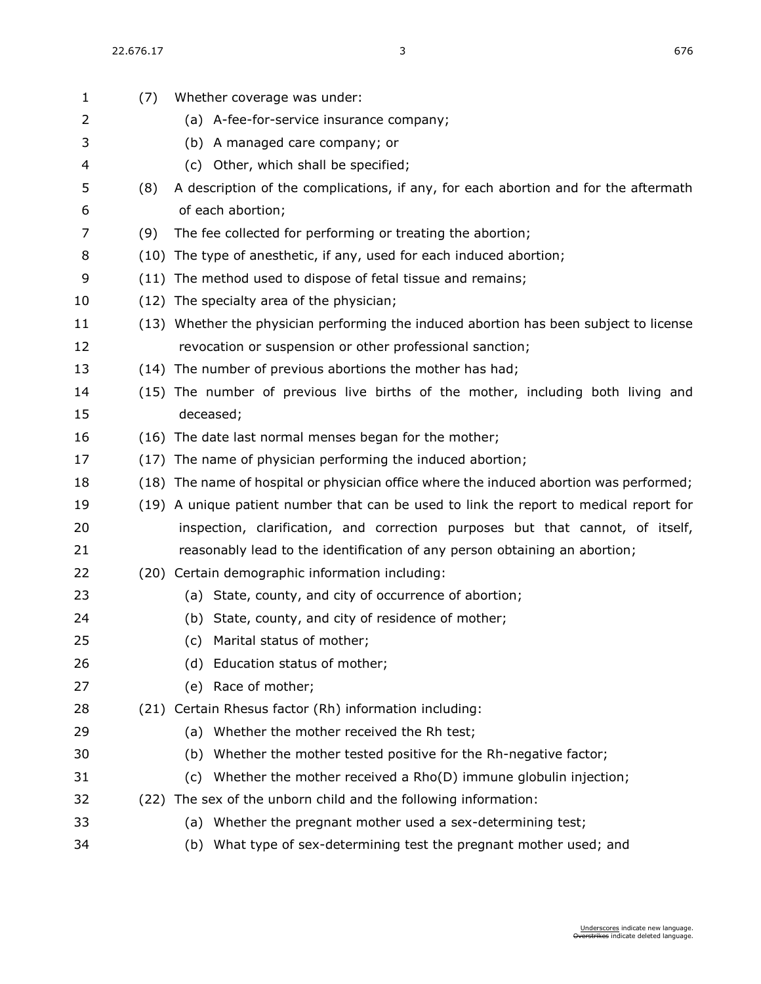| $\mathbf{1}$ | (7) | Whether coverage was under:                                                             |
|--------------|-----|-----------------------------------------------------------------------------------------|
| 2            |     | (a) A-fee-for-service insurance company;                                                |
| 3            |     | (b) A managed care company; or                                                          |
| 4            |     | (c) Other, which shall be specified;                                                    |
| 5            | (8) | A description of the complications, if any, for each abortion and for the aftermath     |
| 6            |     | of each abortion;                                                                       |
| 7            | (9) | The fee collected for performing or treating the abortion;                              |
| 8            |     | (10) The type of anesthetic, if any, used for each induced abortion;                    |
| 9            |     | (11) The method used to dispose of fetal tissue and remains;                            |
| 10           |     | (12) The specialty area of the physician;                                               |
| 11           |     | (13) Whether the physician performing the induced abortion has been subject to license  |
| 12           |     | revocation or suspension or other professional sanction;                                |
| 13           |     | (14) The number of previous abortions the mother has had;                               |
| 14           |     | (15) The number of previous live births of the mother, including both living and        |
| 15           |     | deceased;                                                                               |
| 16           |     | (16) The date last normal menses began for the mother;                                  |
| 17           |     | (17) The name of physician performing the induced abortion;                             |
| 18           |     | (18) The name of hospital or physician office where the induced abortion was performed; |
| 19           |     | (19) A unique patient number that can be used to link the report to medical report for  |
| 20           |     | inspection, clarification, and correction purposes but that cannot, of itself,          |
| 21           |     | reasonably lead to the identification of any person obtaining an abortion;              |
| 22           |     | (20) Certain demographic information including:                                         |
| 23           |     | (a) State, county, and city of occurrence of abortion;                                  |
| 24           |     | State, county, and city of residence of mother;<br>(b)                                  |
| 25           |     | Marital status of mother;<br>(c)                                                        |
| 26           |     | (d) Education status of mother;                                                         |
| 27           |     | (e) Race of mother;                                                                     |
| 28           |     | (21) Certain Rhesus factor (Rh) information including:                                  |
| 29           |     | (a) Whether the mother received the Rh test;                                            |
| 30           |     | Whether the mother tested positive for the Rh-negative factor;<br>(b)                   |
| 31           |     | Whether the mother received a Rho(D) immune globulin injection;<br>(c)                  |
| 32           |     | (22) The sex of the unborn child and the following information:                         |
| 33           |     | (a) Whether the pregnant mother used a sex-determining test;                            |
| 34           |     | (b) What type of sex-determining test the pregnant mother used; and                     |
|              |     |                                                                                         |